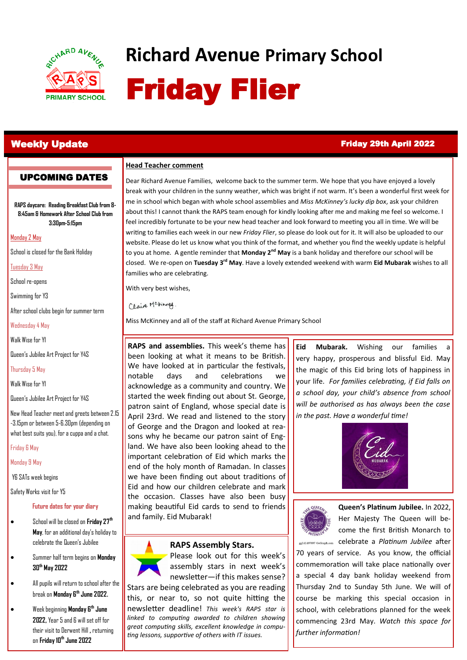

# **Richard Avenue Primary School** Friday Flier

UPCOMING DATES

## Weekly Update Friday 29th April 2022

#### **Head Teacher comment**

**RAPS daycare: Reading Breakfast Club from 8- 8:45am & Homework After School Club from 3:30pm-5:15pm**

Monday 2 May

School is closed for the Bank Holiday

Tuesday 3 May

School re-opens

Swimming for Y3

After school clubs begin for summer term

Wednesday 4 May

Walk Wise for Y1

Queen's Jubilee Art Project for Y4S

Thursday 5 May

Walk Wise for Y1

Queen's Jubilee Art Project for Y4S

New Head Teacher meet and greets between 2.15 -3.15pm or between 5-6.30pm (depending on what best suits you), for a cuppa and a chat.

Friday 6 May

Monday 9 May

Y6 SATs week begins

Safety Works visit for Y5

**Future dates for your diary**

- School will be closed on **Friday 27th May**, for an additional day's holiday to celebrate the Queen's Jubilee
- Summer half term begins on **Monday 30th May 2022**
- All pupils will return to school after the break on **Monday 6th June 2022.**
- Week beginning **Monday 6th June 2022,** Year 5 and 6 will set off for their visit to Derwent Hill **,** returning on **Friday 10th June 2022**

Dear Richard Avenue Families, welcome back to the summer term. We hope that you have enjoyed a lovely break with your children in the sunny weather, which was bright if not warm. It's been a wonderful first week for me in school which began with whole school assemblies and *Miss McKinney's lucky dip box*, ask your children about this! I cannot thank the RAPS team enough for kindly looking after me and making me feel so welcome. I feel incredibly fortunate to be your new head teacher and look forward to meeting you all in time. We will be writing to families each week in our new *Friday Flier*, so please do look out for it. It will also be uploaded to our website. Please do let us know what you think of the format, and whether you find the weekly update is helpful to you at home. A gentle reminder that **Monday 2nd May** is a bank holiday and therefore our school will be closed. We re-open on **Tuesday 3rd May**. Have a lovely extended weekend with warm **Eid Mubarak** wishes to all families who are celebrating.

With very best wishes,

Claire Mckinney.

Miss McKinney and all of the staff at Richard Avenue Primary School

**RAPS and assemblies.** This week's theme has been looking at what it means to be British. We have looked at in particular the festivals, notable days and celebrations we acknowledge as a community and country. We started the week finding out about St. George, patron saint of England, whose special date is April 23rd. We read and listened to the story of George and the Dragon and looked at reasons why he became our patron saint of England. We have also been looking ahead to the important celebration of Eid which marks the end of the holy month of Ramadan. In classes we have been finding out about traditions of Eid and how our children celebrate and mark the occasion. Classes have also been busy making beautiful Eid cards to send to friends and family. Eid Mubarak!

### **RAPS Assembly Stars.**



Please look out for this week's assembly stars in next week's newsletter—if this makes sense?

Stars are being celebrated as you are reading this, or near to, so not quite hitting the newsletter deadline! *This week's RAPS star is linked to computing awarded to children showing great computing skills, excellent knowledge in computing lessons, supportive of others with IT issues.* 

**Eid Mubarak.** Wishing our families a very happy, prosperous and blissful Eid. May the magic of this Eid bring lots of happiness in your life. *For families celebrating, if Eid falls on a school day, your child's absence from school will be authorised as has always been the case in the past. Have a wonderful time!* 





**Queen's Platinum Jubilee.** In 2022, Her Majesty The Queen will become the first British Monarch to **gg141497697 GoGraph.com** Celebrate a *Platinum Jubilee* after 70 years of service. As you know, the official commemoration will take place nationally over a special 4 day bank holiday weekend from Thursday 2nd to Sunday 5th June. We will of course be marking this special occasion in school, with celebrations planned for the week commencing 23rd May. *Watch this space for further information!*